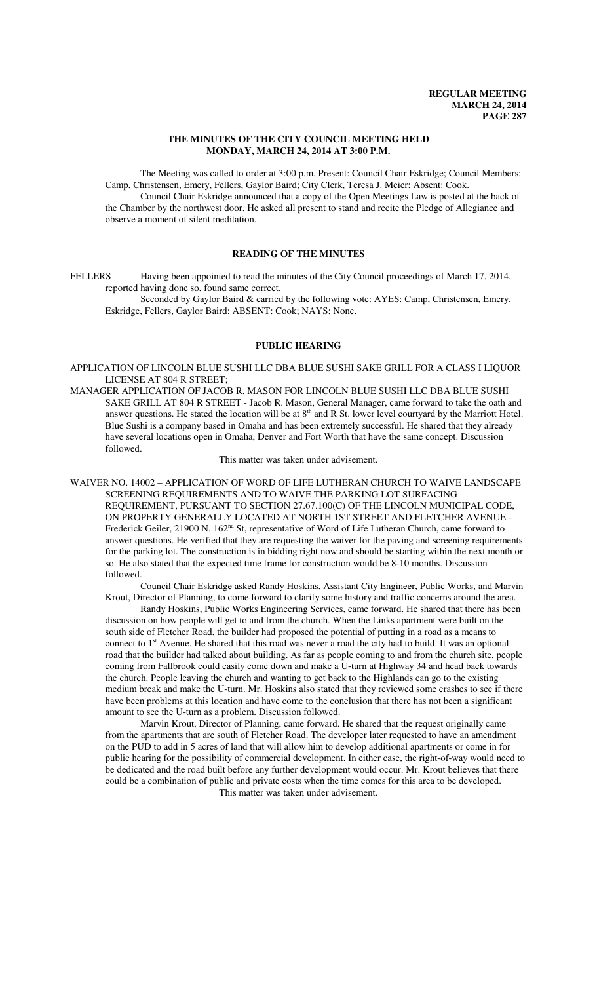# **THE MINUTES OF THE CITY COUNCIL MEETING HELD MONDAY, MARCH 24, 2014 AT 3:00 P.M.**

The Meeting was called to order at 3:00 p.m. Present: Council Chair Eskridge; Council Members: Camp, Christensen, Emery, Fellers, Gaylor Baird; City Clerk, Teresa J. Meier; Absent: Cook. Council Chair Eskridge announced that a copy of the Open Meetings Law is posted at the back of

the Chamber by the northwest door. He asked all present to stand and recite the Pledge of Allegiance and observe a moment of silent meditation.

# **READING OF THE MINUTES**

FELLERS Having been appointed to read the minutes of the City Council proceedings of March 17, 2014, reported having done so, found same correct.

Seconded by Gaylor Baird & carried by the following vote: AYES: Camp, Christensen, Emery, Eskridge, Fellers, Gaylor Baird; ABSENT: Cook; NAYS: None.

# **PUBLIC HEARING**

APPLICATION OF LINCOLN BLUE SUSHI LLC DBA BLUE SUSHI SAKE GRILL FOR A CLASS I LIQUOR LICENSE AT 804 R STREET;

MANAGER APPLICATION OF JACOB R. MASON FOR LINCOLN BLUE SUSHI LLC DBA BLUE SUSHI SAKE GRILL AT 804 R STREET - Jacob R. Mason, General Manager, came forward to take the oath and answer questions. He stated the location will be at 8<sup>th</sup> and R St. lower level courtyard by the Marriott Hotel. Blue Sushi is a company based in Omaha and has been extremely successful. He shared that they already have several locations open in Omaha, Denver and Fort Worth that have the same concept. Discussion followed.

This matter was taken under advisement.

WAIVER NO. 14002 – APPLICATION OF WORD OF LIFE LUTHERAN CHURCH TO WAIVE LANDSCAPE SCREENING REQUIREMENTS AND TO WAIVE THE PARKING LOT SURFACING REQUIREMENT, PURSUANT TO SECTION 27.67.100(C) OF THE LINCOLN MUNICIPAL CODE, ON PROPERTY GENERALLY LOCATED AT NORTH 1ST STREET AND FLETCHER AVENUE - Frederick Geiler, 21900 N. 162<sup>nd</sup> St, representative of Word of Life Lutheran Church, came forward to answer questions. He verified that they are requesting the waiver for the paving and screening requirements for the parking lot. The construction is in bidding right now and should be starting within the next month or so. He also stated that the expected time frame for construction would be 8-10 months. Discussion followed.

Council Chair Eskridge asked Randy Hoskins, Assistant City Engineer, Public Works, and Marvin Krout, Director of Planning, to come forward to clarify some history and traffic concerns around the area.

Randy Hoskins, Public Works Engineering Services, came forward. He shared that there has been discussion on how people will get to and from the church. When the Links apartment were built on the south side of Fletcher Road, the builder had proposed the potential of putting in a road as a means to connect to 1<sup>st</sup> Avenue. He shared that this road was never a road the city had to build. It was an optional road that the builder had talked about building. As far as people coming to and from the church site, people coming from Fallbrook could easily come down and make a U-turn at Highway 34 and head back towards the church. People leaving the church and wanting to get back to the Highlands can go to the existing medium break and make the U-turn. Mr. Hoskins also stated that they reviewed some crashes to see if there have been problems at this location and have come to the conclusion that there has not been a significant amount to see the U-turn as a problem. Discussion followed.

Marvin Krout, Director of Planning, came forward. He shared that the request originally came from the apartments that are south of Fletcher Road. The developer later requested to have an amendment on the PUD to add in 5 acres of land that will allow him to develop additional apartments or come in for public hearing for the possibility of commercial development. In either case, the right-of-way would need to be dedicated and the road built before any further development would occur. Mr. Krout believes that there could be a combination of public and private costs when the time comes for this area to be developed.

This matter was taken under advisement.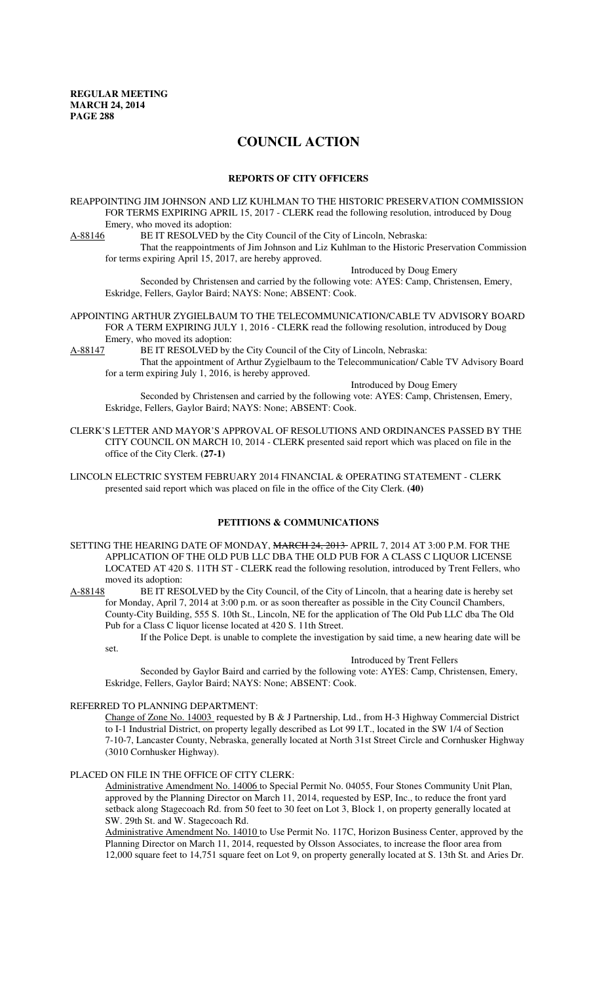# **COUNCIL ACTION**

# **REPORTS OF CITY OFFICERS**

REAPPOINTING JIM JOHNSON AND LIZ KUHLMAN TO THE HISTORIC PRESERVATION COMMISSION FOR TERMS EXPIRING APRIL 15, 2017 - CLERK read the following resolution, introduced by Doug Emery, who moved its adoption:

A-88146 BE IT RESOLVED by the City Council of the City of Lincoln, Nebraska:

That the reappointments of Jim Johnson and Liz Kuhlman to the Historic Preservation Commission for terms expiring April 15, 2017, are hereby approved.

Introduced by Doug Emery

Seconded by Christensen and carried by the following vote: AYES: Camp, Christensen, Emery, Eskridge, Fellers, Gaylor Baird; NAYS: None; ABSENT: Cook.

### APPOINTING ARTHUR ZYGIELBAUM TO THE TELECOMMUNICATION/CABLE TV ADVISORY BOARD FOR A TERM EXPIRING JULY 1, 2016 - CLERK read the following resolution, introduced by Doug Emery, who moved its adoption:

A-88147 BE IT RESOLVED by the City Council of the City of Lincoln, Nebraska: That the appointment of Arthur Zygielbaum to the Telecommunication/ Cable TV Advisory Board for a term expiring July 1, 2016, is hereby approved.

Introduced by Doug Emery

Seconded by Christensen and carried by the following vote: AYES: Camp, Christensen, Emery, Eskridge, Fellers, Gaylor Baird; NAYS: None; ABSENT: Cook.

CLERK'S LETTER AND MAYOR'S APPROVAL OF RESOLUTIONS AND ORDINANCES PASSED BY THE CITY COUNCIL ON MARCH 10, 2014 - CLERK presented said report which was placed on file in the office of the City Clerk. **(27-1)**

LINCOLN ELECTRIC SYSTEM FEBRUARY 2014 FINANCIAL & OPERATING STATEMENT - CLERK presented said report which was placed on file in the office of the City Clerk. **(40)**

# **PETITIONS & COMMUNICATIONS**

SETTING THE HEARING DATE OF MONDAY, MARCH 24, 2013 APRIL 7, 2014 AT 3:00 P.M. FOR THE APPLICATION OF THE OLD PUB LLC DBA THE OLD PUB FOR A CLASS C LIQUOR LICENSE LOCATED AT 420 S. 11TH ST - CLERK read the following resolution, introduced by Trent Fellers, who moved its adoption:<br>A-88148 BE IT RES

BE IT RESOLVED by the City Council, of the City of Lincoln, that a hearing date is hereby set for Monday, April 7, 2014 at 3:00 p.m. or as soon thereafter as possible in the City Council Chambers, County-City Building, 555 S. 10th St., Lincoln, NE for the application of The Old Pub LLC dba The Old Pub for a Class C liquor license located at 420 S. 11th Street.

If the Police Dept. is unable to complete the investigation by said time, a new hearing date will be set.

#### Introduced by Trent Fellers

Seconded by Gaylor Baird and carried by the following vote: AYES: Camp, Christensen, Emery, Eskridge, Fellers, Gaylor Baird; NAYS: None; ABSENT: Cook.

#### REFERRED TO PLANNING DEPARTMENT:

Change of Zone No. 14003 requested by B & J Partnership, Ltd., from H-3 Highway Commercial District to I-1 Industrial District, on property legally described as Lot 99 I.T., located in the SW 1/4 of Section 7-10-7, Lancaster County, Nebraska, generally located at North 31st Street Circle and Cornhusker Highway (3010 Cornhusker Highway).

# PLACED ON FILE IN THE OFFICE OF CITY CLERK:

Administrative Amendment No. 14006 to Special Permit No. 04055, Four Stones Community Unit Plan, approved by the Planning Director on March 11, 2014, requested by ESP, Inc., to reduce the front yard setback along Stagecoach Rd. from 50 feet to 30 feet on Lot 3, Block 1, on property generally located at SW. 29th St. and W. Stagecoach Rd.

Administrative Amendment No. 14010 to Use Permit No. 117C, Horizon Business Center, approved by the Planning Director on March 11, 2014, requested by Olsson Associates, to increase the floor area from 12,000 square feet to 14,751 square feet on Lot 9, on property generally located at S. 13th St. and Aries Dr.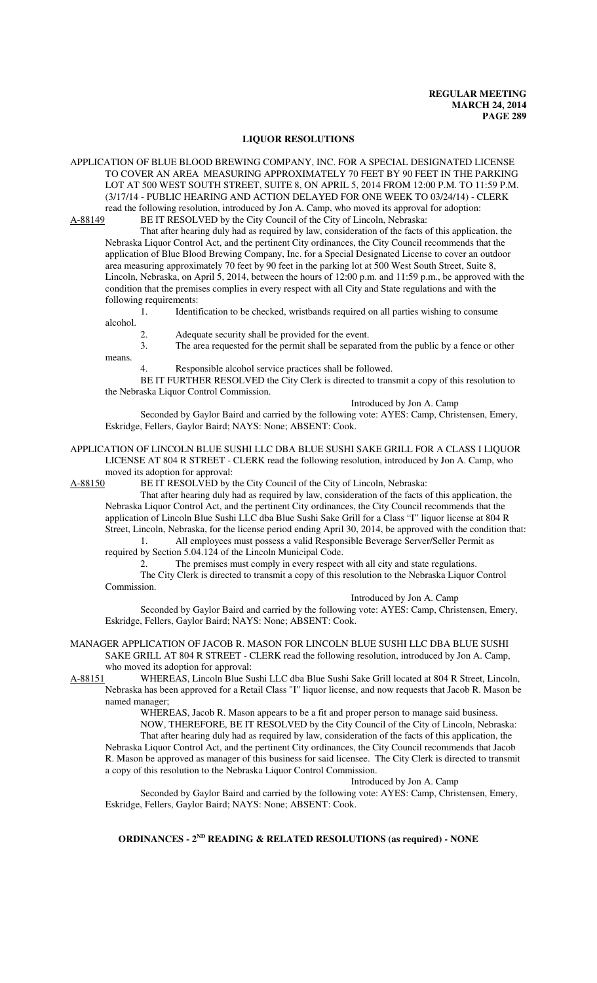#### **LIQUOR RESOLUTIONS**

APPLICATION OF BLUE BLOOD BREWING COMPANY, INC. FOR A SPECIAL DESIGNATED LICENSE TO COVER AN AREA MEASURING APPROXIMATELY 70 FEET BY 90 FEET IN THE PARKING LOT AT 500 WEST SOUTH STREET, SUITE 8, ON APRIL 5, 2014 FROM 12:00 P.M. TO 11:59 P.M. (3/17/14 - PUBLIC HEARING AND ACTION DELAYED FOR ONE WEEK TO 03/24/14) - CLERK read the following resolution, introduced by Jon A. Camp, who moved its approval for adoption:

A-88149 BE IT RESOLVED by the City Council of the City of Lincoln, Nebraska:

That after hearing duly had as required by law, consideration of the facts of this application, the Nebraska Liquor Control Act, and the pertinent City ordinances, the City Council recommends that the application of Blue Blood Brewing Company, Inc. for a Special Designated License to cover an outdoor area measuring approximately 70 feet by 90 feet in the parking lot at 500 West South Street, Suite 8, Lincoln, Nebraska, on April 5, 2014, between the hours of 12:00 p.m. and 11:59 p.m., be approved with the condition that the premises complies in every respect with all City and State regulations and with the following requirements:

1. Identification to be checked, wristbands required on all parties wishing to consume alcohol.

2. Adequate security shall be provided for the event.<br>3. The area requested for the permit shall be separate

The area requested for the permit shall be separated from the public by a fence or other means.

4. Responsible alcohol service practices shall be followed.

BE IT FURTHER RESOLVED the City Clerk is directed to transmit a copy of this resolution to the Nebraska Liquor Control Commission.

Introduced by Jon A. Camp

Seconded by Gaylor Baird and carried by the following vote: AYES: Camp, Christensen, Emery, Eskridge, Fellers, Gaylor Baird; NAYS: None; ABSENT: Cook.

APPLICATION OF LINCOLN BLUE SUSHI LLC DBA BLUE SUSHI SAKE GRILL FOR A CLASS I LIQUOR LICENSE AT 804 R STREET - CLERK read the following resolution, introduced by Jon A. Camp, who moved its adoption for approval:

A-88150 BE IT RESOLVED by the City Council of the City of Lincoln, Nebraska:

That after hearing duly had as required by law, consideration of the facts of this application, the Nebraska Liquor Control Act, and the pertinent City ordinances, the City Council recommends that the application of Lincoln Blue Sushi LLC dba Blue Sushi Sake Grill for a Class "I" liquor license at 804 R Street, Lincoln, Nebraska, for the license period ending April 30, 2014, be approved with the condition that: 1. All employees must possess a valid Responsible Beverage Server/Seller Permit as

required by Section 5.04.124 of the Lincoln Municipal Code.

2. The premises must comply in every respect with all city and state regulations.

The City Clerk is directed to transmit a copy of this resolution to the Nebraska Liquor Control Commission.

Introduced by Jon A. Camp

Seconded by Gaylor Baird and carried by the following vote: AYES: Camp, Christensen, Emery, Eskridge, Fellers, Gaylor Baird; NAYS: None; ABSENT: Cook.

MANAGER APPLICATION OF JACOB R. MASON FOR LINCOLN BLUE SUSHI LLC DBA BLUE SUSHI SAKE GRILL AT 804 R STREET - CLERK read the following resolution, introduced by Jon A. Camp, who moved its adoption for approval:

A-88151 WHEREAS, Lincoln Blue Sushi LLC dba Blue Sushi Sake Grill located at 804 R Street, Lincoln, Nebraska has been approved for a Retail Class "I" liquor license, and now requests that Jacob R. Mason be named manager;

> WHEREAS, Jacob R. Mason appears to be a fit and proper person to manage said business. NOW, THEREFORE, BE IT RESOLVED by the City Council of the City of Lincoln, Nebraska:

That after hearing duly had as required by law, consideration of the facts of this application, the Nebraska Liquor Control Act, and the pertinent City ordinances, the City Council recommends that Jacob R. Mason be approved as manager of this business for said licensee. The City Clerk is directed to transmit a copy of this resolution to the Nebraska Liquor Control Commission.

Introduced by Jon A. Camp

Seconded by Gaylor Baird and carried by the following vote: AYES: Camp, Christensen, Emery, Eskridge, Fellers, Gaylor Baird; NAYS: None; ABSENT: Cook.

**ORDINANCES - 2ND READING & RELATED RESOLUTIONS (as required) - NONE**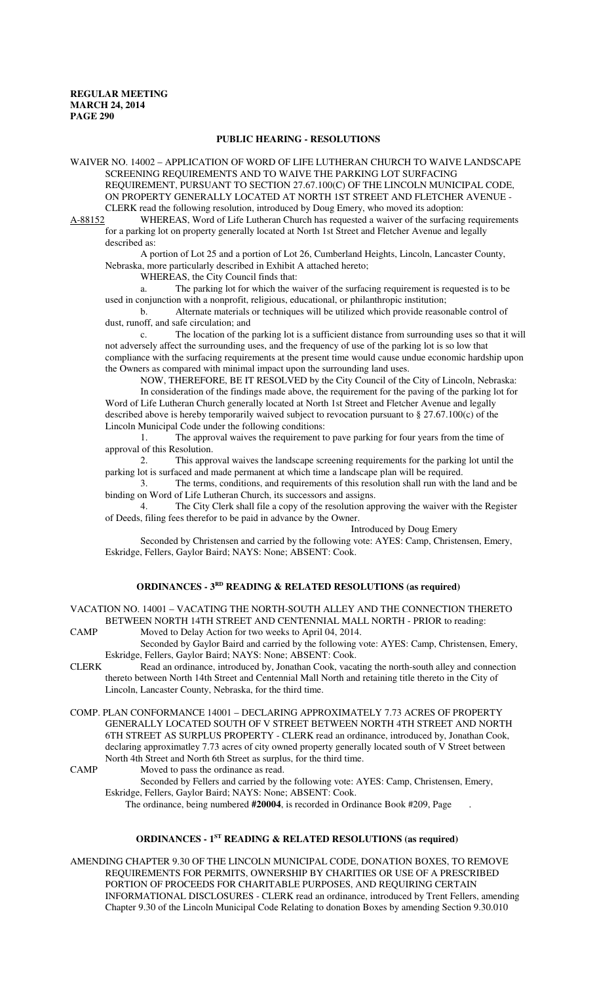### **PUBLIC HEARING - RESOLUTIONS**

WAIVER NO. 14002 – APPLICATION OF WORD OF LIFE LUTHERAN CHURCH TO WAIVE LANDSCAPE SCREENING REQUIREMENTS AND TO WAIVE THE PARKING LOT SURFACING REQUIREMENT, PURSUANT TO SECTION 27.67.100(C) OF THE LINCOLN MUNICIPAL CODE, ON PROPERTY GENERALLY LOCATED AT NORTH 1ST STREET AND FLETCHER AVENUE - CLERK read the following resolution, introduced by Doug Emery, who moved its adoption:

A-88152 WHEREAS, Word of Life Lutheran Church has requested a waiver of the surfacing requirements for a parking lot on property generally located at North 1st Street and Fletcher Avenue and legally described as:

A portion of Lot 25 and a portion of Lot 26, Cumberland Heights, Lincoln, Lancaster County, Nebraska, more particularly described in Exhibit A attached hereto;

WHEREAS, the City Council finds that:

a. The parking lot for which the waiver of the surfacing requirement is requested is to be used in conjunction with a nonprofit, religious, educational, or philanthropic institution;

b. Alternate materials or techniques will be utilized which provide reasonable control of dust, runoff, and safe circulation; and

c. The location of the parking lot is a sufficient distance from surrounding uses so that it will not adversely affect the surrounding uses, and the frequency of use of the parking lot is so low that compliance with the surfacing requirements at the present time would cause undue economic hardship upon the Owners as compared with minimal impact upon the surrounding land uses.

NOW, THEREFORE, BE IT RESOLVED by the City Council of the City of Lincoln, Nebraska: In consideration of the findings made above, the requirement for the paving of the parking lot for Word of Life Lutheran Church generally located at North 1st Street and Fletcher Avenue and legally described above is hereby temporarily waived subject to revocation pursuant to  $\S 27.67.100(c)$  of the Lincoln Municipal Code under the following conditions:

1. The approval waives the requirement to pave parking for four years from the time of approval of this Resolution.

2. This approval waives the landscape screening requirements for the parking lot until the parking lot is surfaced and made permanent at which time a landscape plan will be required.

3. The terms, conditions, and requirements of this resolution shall run with the land and be binding on Word of Life Lutheran Church, its successors and assigns.

4. The City Clerk shall file a copy of the resolution approving the waiver with the Register of Deeds, filing fees therefor to be paid in advance by the Owner.

Introduced by Doug Emery

Seconded by Christensen and carried by the following vote: AYES: Camp, Christensen, Emery, Eskridge, Fellers, Gaylor Baird; NAYS: None; ABSENT: Cook.

# **ORDINANCES - 3RD READING & RELATED RESOLUTIONS (as required)**

VACATION NO. 14001 – VACATING THE NORTH-SOUTH ALLEY AND THE CONNECTION THERETO BETWEEN NORTH 14TH STREET AND CENTENNIAL MALL NORTH - PRIOR to reading:

CAMP Moved to Delay Action for two weeks to April 04, 2014.

Seconded by Gaylor Baird and carried by the following vote: AYES: Camp, Christensen, Emery, Eskridge, Fellers, Gaylor Baird; NAYS: None; ABSENT: Cook.

- CLERK Read an ordinance, introduced by, Jonathan Cook, vacating the north-south alley and connection thereto between North 14th Street and Centennial Mall North and retaining title thereto in the City of Lincoln, Lancaster County, Nebraska, for the third time.
- COMP. PLAN CONFORMANCE 14001 DECLARING APPROXIMATELY 7.73 ACRES OF PROPERTY GENERALLY LOCATED SOUTH OF V STREET BETWEEN NORTH 4TH STREET AND NORTH 6TH STREET AS SURPLUS PROPERTY - CLERK read an ordinance, introduced by, Jonathan Cook, declaring approximatley 7.73 acres of city owned property generally located south of V Street between North 4th Street and North 6th Street as surplus, for the third time.

CAMP Moved to pass the ordinance as read.

Seconded by Fellers and carried by the following vote: AYES: Camp, Christensen, Emery, Eskridge, Fellers, Gaylor Baird; NAYS: None; ABSENT: Cook.

The ordinance, being numbered **#20004**, is recorded in Ordinance Book #209, Page .

#### **ORDINANCES - 1ST READING & RELATED RESOLUTIONS (as required)**

AMENDING CHAPTER 9.30 OF THE LINCOLN MUNICIPAL CODE, DONATION BOXES, TO REMOVE REQUIREMENTS FOR PERMITS, OWNERSHIP BY CHARITIES OR USE OF A PRESCRIBED PORTION OF PROCEEDS FOR CHARITABLE PURPOSES, AND REQUIRING CERTAIN INFORMATIONAL DISCLOSURES - CLERK read an ordinance, introduced by Trent Fellers, amending Chapter 9.30 of the Lincoln Municipal Code Relating to donation Boxes by amending Section 9.30.010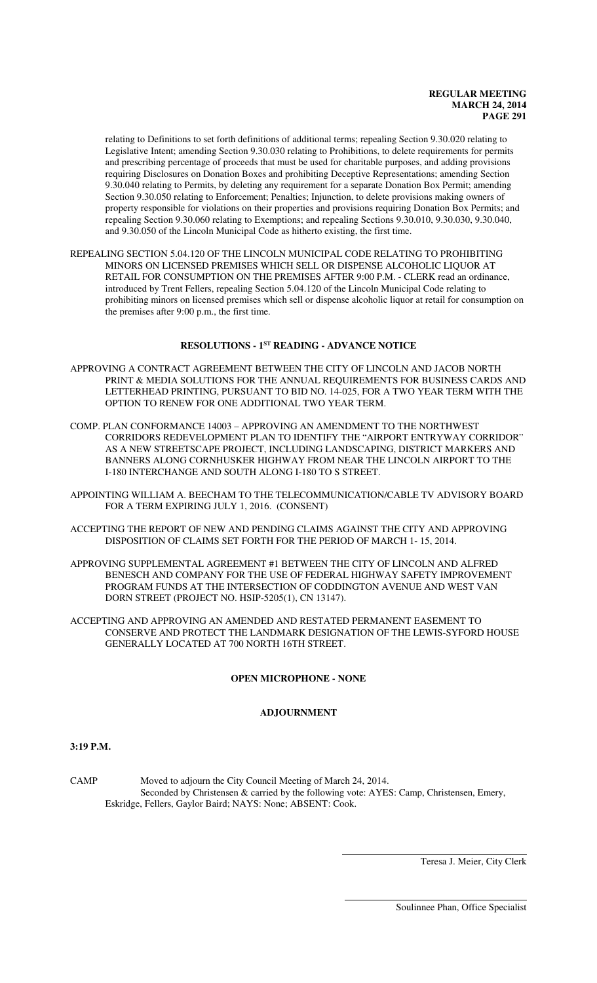## **REGULAR MEETING MARCH 24, 2014 PAGE 291**

relating to Definitions to set forth definitions of additional terms; repealing Section 9.30.020 relating to Legislative Intent; amending Section 9.30.030 relating to Prohibitions, to delete requirements for permits and prescribing percentage of proceeds that must be used for charitable purposes, and adding provisions requiring Disclosures on Donation Boxes and prohibiting Deceptive Representations; amending Section 9.30.040 relating to Permits, by deleting any requirement for a separate Donation Box Permit; amending Section 9.30.050 relating to Enforcement; Penalties; Injunction, to delete provisions making owners of property responsible for violations on their properties and provisions requiring Donation Box Permits; and repealing Section 9.30.060 relating to Exemptions; and repealing Sections 9.30.010, 9.30.030, 9.30.040, and 9.30.050 of the Lincoln Municipal Code as hitherto existing, the first time.

REPEALING SECTION 5.04.120 OF THE LINCOLN MUNICIPAL CODE RELATING TO PROHIBITING MINORS ON LICENSED PREMISES WHICH SELL OR DISPENSE ALCOHOLIC LIQUOR AT RETAIL FOR CONSUMPTION ON THE PREMISES AFTER 9:00 P.M. - CLERK read an ordinance, introduced by Trent Fellers, repealing Section 5.04.120 of the Lincoln Municipal Code relating to prohibiting minors on licensed premises which sell or dispense alcoholic liquor at retail for consumption on the premises after 9:00 p.m., the first time.

# **RESOLUTIONS - 1ST READING - ADVANCE NOTICE**

- APPROVING A CONTRACT AGREEMENT BETWEEN THE CITY OF LINCOLN AND JACOB NORTH PRINT & MEDIA SOLUTIONS FOR THE ANNUAL REQUIREMENTS FOR BUSINESS CARDS AND LETTERHEAD PRINTING, PURSUANT TO BID NO. 14-025, FOR A TWO YEAR TERM WITH THE OPTION TO RENEW FOR ONE ADDITIONAL TWO YEAR TERM.
- COMP. PLAN CONFORMANCE 14003 APPROVING AN AMENDMENT TO THE NORTHWEST CORRIDORS REDEVELOPMENT PLAN TO IDENTIFY THE "AIRPORT ENTRYWAY CORRIDOR" AS A NEW STREETSCAPE PROJECT, INCLUDING LANDSCAPING, DISTRICT MARKERS AND BANNERS ALONG CORNHUSKER HIGHWAY FROM NEAR THE LINCOLN AIRPORT TO THE I-180 INTERCHANGE AND SOUTH ALONG I-180 TO S STREET.
- APPOINTING WILLIAM A. BEECHAM TO THE TELECOMMUNICATION/CABLE TV ADVISORY BOARD FOR A TERM EXPIRING JULY 1, 2016. (CONSENT)
- ACCEPTING THE REPORT OF NEW AND PENDING CLAIMS AGAINST THE CITY AND APPROVING DISPOSITION OF CLAIMS SET FORTH FOR THE PERIOD OF MARCH 1- 15, 2014.
- APPROVING SUPPLEMENTAL AGREEMENT #1 BETWEEN THE CITY OF LINCOLN AND ALFRED BENESCH AND COMPANY FOR THE USE OF FEDERAL HIGHWAY SAFETY IMPROVEMENT PROGRAM FUNDS AT THE INTERSECTION OF CODDINGTON AVENUE AND WEST VAN DORN STREET (PROJECT NO. HSIP-5205(1), CN 13147).
- ACCEPTING AND APPROVING AN AMENDED AND RESTATED PERMANENT EASEMENT TO CONSERVE AND PROTECT THE LANDMARK DESIGNATION OF THE LEWIS-SYFORD HOUSE GENERALLY LOCATED AT 700 NORTH 16TH STREET.

# **OPEN MICROPHONE - NONE**

## **ADJOURNMENT**

**3:19 P.M.**

CAMP Moved to adjourn the City Council Meeting of March 24, 2014. Seconded by Christensen & carried by the following vote: AYES: Camp, Christensen, Emery, Eskridge, Fellers, Gaylor Baird; NAYS: None; ABSENT: Cook.

 $\overline{a}$ 

 $\overline{\phantom{a}}$ 

Teresa J. Meier, City Clerk

Soulinnee Phan, Office Specialist